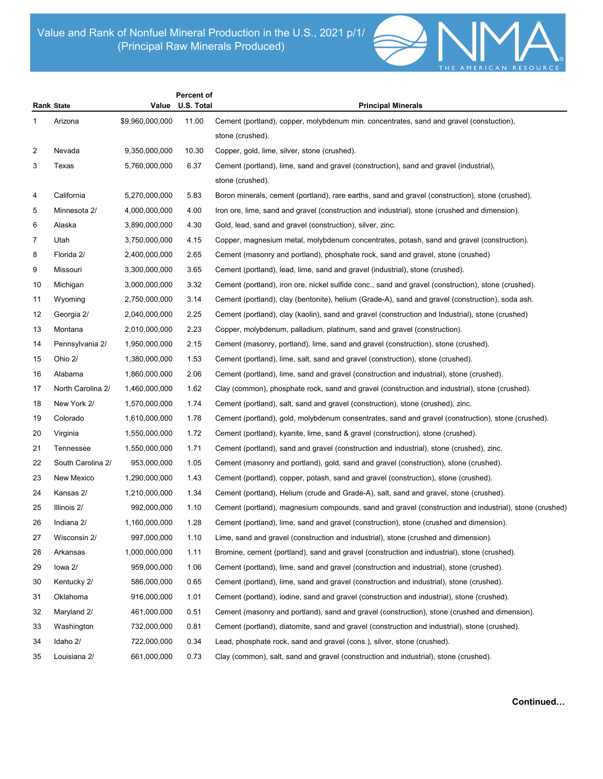

|                |                   |                 | Percent of |                                                                                                        |
|----------------|-------------------|-----------------|------------|--------------------------------------------------------------------------------------------------------|
|                | <b>Rank State</b> | Value           | U.S. Total | <b>Principal Minerals</b>                                                                              |
| 1              | Arizona           | \$9,960,000,000 | 11.00      | Cement (portland), copper, molybdenum min. concentrates, sand and gravel (constuction),                |
|                |                   |                 |            | stone (crushed).                                                                                       |
| $\overline{c}$ | Nevada            | 9,350,000,000   | 10.30      | Copper, gold, lime, silver, stone (crushed).                                                           |
| 3              | Texas             | 5,760,000,000   | 6.37       | Cement (portland), lime, sand and gravel (construction), sand and gravel (industrial),                 |
|                |                   |                 |            | stone (crushed).                                                                                       |
| 4              | California        | 5,270,000,000   | 5.83       | Boron minerals, cement (portland), rare earths, sand and gravel (construction), stone (crushed).       |
| 5              | Minnesota 2/      | 4,000,000,000   | 4.00       | Iron ore, lime, sand and gravel (construction and industrial), stone (crushed and dimension).          |
| 6              | Alaska            | 3,890,000,000   | 4.30       | Gold, lead, sand and gravel (construction), silver, zinc.                                              |
| 7              | Utah              | 3,750,000,000   | 4.15       | Copper, magnesium metal, molybdenum concentrates, potash, sand and gravel (construction).              |
| 8              | Florida 2/        | 2,400,000,000   | 2.65       | Cement (masonry and portland), phosphate rock, sand and gravel, stone (crushed)                        |
| 9              | Missouri          | 3,300,000,000   | 3.65       | Cement (portland), lead, lime, sand and gravel (industrial), stone (crushed).                          |
| 10             | Michigan          | 3,000,000,000   | 3.32       | Cement (portland), iron ore, nickel sulfide conc., sand and gravel (construction), stone (crushed).    |
| 11             | Wyoming           | 2,750,000,000   | 3.14       | Cement (portland), clay (bentonite), helium (Grade-A), sand and gravel (construction), soda ash.       |
| 12             | Georgia 2/        | 2,040,000,000   | 2.25       | Cement (portland), clay (kaolin), sand and gravel (construction and Industrial), stone (crushed)       |
| 13             | Montana           | 2,010,000,000   | 2.23       | Copper, molybdenum, palladium, platinum, sand and gravel (construction).                               |
| 14             | Pennsylvania 2/   | 1,950,000,000   | 2.15       | Cement (masonry, portland), lime, sand and gravel (construction), stone (crushed).                     |
| 15             | Ohio 2/           | 1,380,000,000   | 1.53       | Cement (portland), lime, salt, sand and gravel (construction), stone (crushed).                        |
| 16             | Alabama           | 1,860,000,000   | 2.06       | Cement (portland), lime, sand and gravel (construction and industrial), stone (crushed).               |
| 17             | North Carolina 2/ | 1,460,000,000   | 1.62       | Clay (common), phosphate rock, sand and gravel (construction and industrial), stone (crushed).         |
| 18             | New York 2/       | 1,570,000,000   | 1.74       | Cement (portland), salt, sand and gravel (construction), stone (crushed), zinc.                        |
| 19             | Colorado          | 1,610,000,000   | 1.78       | Cement (portland), gold, molybdenum consentrates, sand and gravel (construction), stone (crushed).     |
| 20             | Virginia          | 1,550,000,000   | 1.72       | Cement (portland), kyanite, lime, sand & gravel (construction), stone (crushed).                       |
| 21             | Tennessee         | 1,550,000,000   | 1.71       | Cement (portland), sand and gravel (construction and industrial), stone (crushed), zinc.               |
| 22             | South Carolina 2/ | 953,000,000     | 1.05       | Cement (masonry and portland), gold, sand and gravel (construction), stone (crushed).                  |
| 23             | New Mexico        | 1,290,000,000   | 1.43       | Cement (portland), copper, potash, sand and gravel (construction), stone (crushed).                    |
| 24             | Kansas 2/         | 1,210,000,000   | 1.34       | Cement (portland), Helium (crude and Grade-A), salt, sand and gravel, stone (crushed).                 |
| 25             | Illinois 2/       | 992,000,000     | 1.10       | Cement (portland), magnesium compounds, sand and gravel (construction and industrial), stone (crushed) |
| 26             | Indiana 2/        | 1,160,000,000   | 1.28       | Cement (portland), lime, sand and gravel (construction), stone (crushed and dimension).                |
| 27             | Wisconsin 2/      | 997,000,000     | 1.10       | Lime, sand and gravel (construction and industrial), stone (crushed and dimension).                    |
| 28             | Arkansas          | 1,000,000,000   | 1.11       | Bromine, cement (portland), sand and gravel (construction and industrial), stone (crushed).            |
| 29             | lowa 2/           | 959,000,000     | 1.06       | Cement (portland), lime, sand and gravel (construction and industrial), stone (crushed).               |
| 30             | Kentucky 2/       | 586,000,000     | 0.65       | Cement (portland), lime, sand and gravel (construction and industrial), stone (crushed).               |
| 31             | Oklahoma          | 916,000,000     | 1.01       | Cement (portland), iodine, sand and gravel (construction and industrial), stone (crushed).             |
| 32             | Maryland 2/       | 461,000,000     | 0.51       | Cement (masonry and portland), sand and gravel (construction), stone (crushed and dimension).          |
| 33             | Washington        | 732,000,000     | 0.81       | Cement (portland), diatomite, sand and gravel (construction and industrial), stone (crushed).          |
| 34             | Idaho 2/          | 722,000,000     | 0.34       | Lead, phosphate rock, sand and gravel (cons.), silver, stone (crushed).                                |
| 35             | Louisiana 2/      | 661,000,000     | 0.73       | Clay (common), salt, sand and gravel (construction and industrial), stone (crushed).                   |